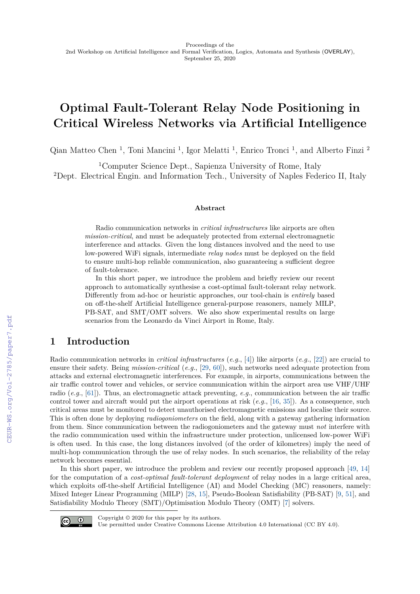# **Optimal Fault-Tolerant Relay Node Positioning in Critical Wireless Networks via Artificial Intelligence**

Qian Matteo Chen<sup>1</sup>, Toni Mancini<sup>1</sup>, Igor Melatti<sup>1</sup>, Enrico Tronci<sup>1</sup>, and Alberto Finzi<sup>2</sup>

<sup>1</sup>Computer Science Dept., Sapienza University of Rome, Italy <sup>2</sup>Dept. Electrical Engin. and Information Tech., University of Naples Federico II, Italy

#### **Abstract**

Radio communication networks in *critical infrastructures* like airports are often *mission-critical*, and must be adequately protected from external electromagnetic interference and attacks. Given the long distances involved and the need to use low-powered WiFi signals, intermediate *relay nodes* must be deployed on the field to ensure multi-hop reliable communication, also guaranteeing a sufficient degree of fault-tolerance.

In this short paper, we introduce the problem and briefly review our recent approach to automatically synthesise a cost-optimal fault-tolerant relay network. Differently from ad-hoc or heuristic approaches, our tool-chain is *entirely* based on off-the-shelf Artificial Intelligence general-purpose reasoners, namely MILP, PB-SAT, and SMT/OMT solvers. We also show experimental results on large scenarios from the Leonardo da Vinci Airport in Rome, Italy.

# **1 Introduction**

Radio communication networks in *critical infrastructures* (*e.g.*, [\[4\]](#page--1-0)) like airports (*e.g.*, [\[22\]](#page--1-1)) are crucial to ensure their safety. Being *mission-critical* (*e.g.*, [\[29,](#page--1-2) [60\]](#page--1-3)), such networks need adequate protection from attacks and external electromagnetic interferences. For example, in airports, communications between the air traffic control tower and vehicles, or service communication within the airport area use VHF/UHF radio (*e.g.*, [\[61\]](#page--1-4)). Thus, an electromagnetic attack preventing, *e.g.*, communication between the air traffic control tower and aircraft would put the airport operations at risk (*e.g.*, [\[16,](#page--1-5) [35\]](#page--1-6)). As a consequence, such critical areas must be monitored to detect unauthorised electromagnetic emissions and localise their source. This is often done by deploying *radiogoniometers* on the field, along with a gateway gathering information from them. Since communication between the radiogoniometers and the gateway must *not* interfere with the radio communication used within the infrastructure under protection, unlicensed low-power WiFi is often used. In this case, the long distances involved (of the order of kilometres) imply the need of multi-hop communication through the use of relay nodes. In such scenarios, the reliability of the relay network becomes essential.

In this short paper, we introduce the problem and review our recently proposed approach [\[49,](#page--1-7) [14\]](#page--1-8) for the computation of a *cost-optimal fault-tolerant deployment* of relay nodes in a large critical area, which exploits off-the-shelf Artificial Intelligence (AI) and Model Checking (MC) reasoners, namely: Mixed Integer Linear Programming (MILP) [\[28,](#page--1-9) [15\]](#page--1-10), Pseudo-Boolean Satisfiability (PB-SAT) [\[9,](#page--1-11) [51\]](#page--1-12), and Satisfiability Modulo Theory (SMT)/Optimisation Modulo Theory (OMT) [\[7\]](#page--1-13) solvers.



Copyright © 2020 for this paper by its authors.

Use permitted under Creative Commons License Attribution 4.0 International (CC BY 4.0).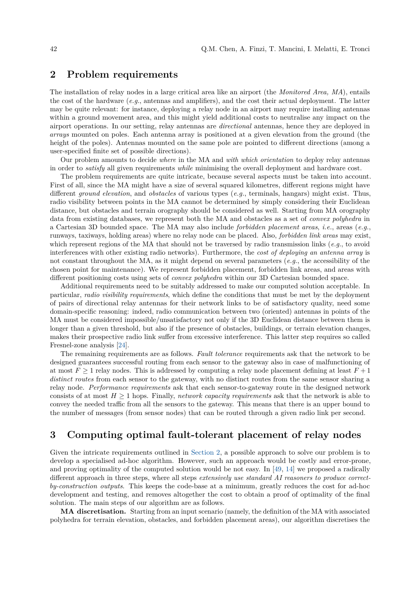#### <span id="page-1-0"></span>**2 Problem requirements**

The installation of relay nodes in a large critical area like an airport (the *Monitored Area, MA*), entails the cost of the hardware (*e.g.*, antennas and amplifiers), and the cost their actual deployment. The latter may be quite relevant: for instance, deploying a relay node in an airport may require installing antennas within a ground movement area, and this might yield additional costs to neutralise any impact on the airport operations. In our setting, relay antennas are *directional* antennas, hence they are deployed in *arrays* mounted on poles. Each antenna array is positioned at a given elevation from the ground (the height of the poles). Antennas mounted on the same pole are pointed to different directions (among a user-specified finite set of possible directions).

Our problem amounts to decide *where* in the MA and *with which orientation* to deploy relay antennas in order to *satisfy* all given requirements *while* minimising the overall deployment and hardware cost.

The problem requirements are quite intricate, because several aspects must be taken into account. First of all, since the MA might have a size of several squared kilometres, different regions might have different *ground elevation*, and *obstacles* of various types (*e.g.*, terminals, hangars) might exist. Thus, radio visibility between points in the MA cannot be determined by simply considering their Euclidean distance, but obstacles and terrain orography should be considered as well. Starting from MA orography data from existing databases, we represent both the MA and obstacles as a set of *convex polyhedra* in a Cartesian 3D bounded space. The MA may also include *forbidden placement areas*, *i.e.*, areas (*e.g.*, runways, taxiways, holding areas) where no relay node can be placed. Also, *forbidden link areas* may exist, which represent regions of the MA that should not be traversed by radio transmission links (*e.g.*, to avoid interferences with other existing radio networks). Furthermore, the *cost of deploying an antenna array* is not constant throughout the MA, as it might depend on several parameters (*e.g.*, the accessibility of the chosen point for maintenance). We represent forbidden placement, forbidden link areas, and areas with different positioning costs using sets of *convex polyhedra* within our 3D Cartesian bounded space.

Additional requirements need to be suitably addressed to make our computed solution acceptable. In particular, *radio visibility requirements*, which define the conditions that must be met by the deployment of pairs of directional relay antennas for their network links to be of satisfactory quality, need some domain-specific reasoning: indeed, radio communication between two (oriented) antennas in points of the MA must be considered impossible/unsatisfactory not only if the 3D Euclidean distance between them is longer than a given threshold, but also if the presence of obstacles, buildings, or terrain elevation changes, makes their prospective radio link suffer from excessive interference. This latter step requires so called Fresnel-zone analysis [\[24\]](#page-4-0).

The remaining requirements are as follows. *Fault tolerance* requirements ask that the network to be designed guarantees successful routing from each sensor to the gateway also in case of malfunctioning of at most  $F \geq 1$  relay nodes. This is addressed by computing a relay node placement defining at least  $F + 1$ *distinct routes* from each sensor to the gateway, with no distinct routes from the same sensor sharing a relay node. *Performance requirements* ask that each sensor-to-gateway route in the designed network consists of at most  $H \geq 1$  hops. Finally, *network capacity requirements* ask that the network is able to convey the needed traffic from all the sensors to the gateway. This means that there is an upper bound to the number of messages (from sensor nodes) that can be routed through a given radio link per second.

#### **3 Computing optimal fault-tolerant placement of relay nodes**

Given the intricate requirements outlined in [Section 2,](#page-1-0) a possible approach to solve our problem is to develop a specialised ad-hoc algorithm. However, such an approach would be costly and error-prone, and proving optimality of the computed solution would be not easy. In [\[49,](#page-5-0) [14\]](#page-4-1) we proposed a radically different approach in three steps, where all steps *extensively use standard AI reasoners to produce correctby-construction outputs*. This keeps the code-base at a minimum, greatly reduces the cost for ad-hoc development and testing, and removes altogether the cost to obtain a proof of optimality of the final solution. The main steps of our algorithm are as follows.

**MA discretisation.** Starting from an input scenario (namely, the definition of the MA with associated polyhedra for terrain elevation, obstacles, and forbidden placement areas), our algorithm discretises the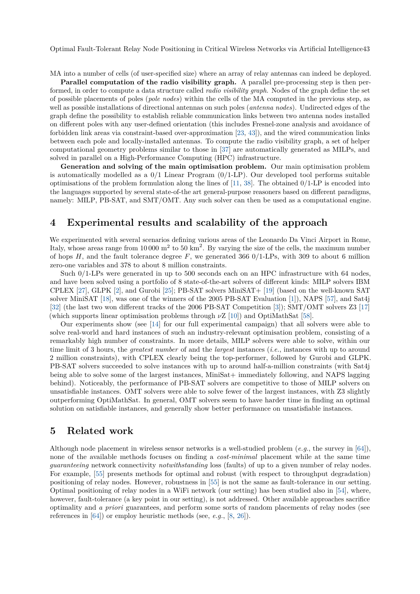Optimal Fault-Tolerant Relay Node Positioning in Critical Wireless Networks via Artificial Intelligence43

MA into a number of cells (of user-specified size) where an array of relay antennas can indeed be deployed.

**Parallel computation of the radio visibility graph.** A parallel pre-processing step is then performed, in order to compute a data structure called *radio visibility graph*. Nodes of the graph define the set of possible placements of poles (*pole nodes*) within the cells of the MA computed in the previous step, as well as possible installations of directional antennas on such poles (*antenna nodes*). Undirected edges of the graph define the possibility to establish reliable communication links between two antenna nodes installed on different poles with any user-defined orientation (this includes Fresnel-zone analysis and avoidance of forbidden link areas via constraint-based over-approximation [\[23,](#page-4-2) [43\]](#page-5-1)), and the wired communication links between each pole and locally-installed antennas. To compute the radio visibility graph, a set of helper computational geometry problems similar to those in [\[37\]](#page-4-3) are automatically generated as MILPs, and solved in parallel on a High-Performance Computing (HPC) infrastructure.

**Generation and solving of the main optimisation problem.** Our main optimisation problem is automatically modelled as a  $0/1$  Linear Program  $(0/1$ -LP). Our developed tool performs suitable optimisations of the problem formulation along the lines of  $[11, 38]$  $[11, 38]$  $[11, 38]$ . The obtained  $0/1$ -LP is encoded into the languages supported by several state-of-the art general-purpose reasoners based on different paradigms, namely: MILP, PB-SAT, and SMT/OMT. Any such solver can then be used as a computational engine.

#### **4 Experimental results and scalability of the approach**

We experimented with several scenarios defining various areas of the Leonardo Da Vinci Airport in Rome, Italy, whose areas range from  $10000 \text{ m}^2$  to  $50 \text{ km}^2$ . By varying the size of the cells, the maximum number of hops  $H$ , and the fault tolerance degree  $F$ , we generated 366 0/1-LPs, with 309 to about 6 million zero-one variables and 378 to about 8 million constraints.

Such 0/1-LPs were generated in up to 500 seconds each on an HPC infrastructure with 64 nodes, and have been solved using a portfolio of 8 state-of-the-art solvers of different kinds: MILP solvers IBM CPLEX [\[27\]](#page-4-6), GLPK [\[2\]](#page-3-0), and Gurobi [\[25\]](#page-4-7); PB-SAT solvers MiniSAT+ [\[19\]](#page-4-8) (based on the well-known SAT solver MiniSAT [\[18\]](#page-4-9), was one of the winners of the 2005 PB-SAT Evaluation [\[1\]](#page-3-1)), NAPS [\[57\]](#page-5-2), and Sat4j [\[32\]](#page-4-10) (the last two won different tracks of the 2006 PB-SAT Competition [\[3\]](#page-3-2)); SMT/OMT solvers Z3 [\[17\]](#page-4-11) (which supports linear optimisation problems through *ν*Z [\[10\]](#page-4-12)) and OptiMathSat [\[58\]](#page-5-3).

Our experiments show (see [\[14\]](#page-4-1) for our full experimental campaign) that all solvers were able to solve real-world and hard instances of such an industry-relevant optimisation problem, consisting of a remarkably high number of constraints. In more details, MILP solvers were able to solve, within our time limit of 3 hours, the *greatest number* of and the *largest* instances (*i.e.*, instances with up to around 2 million constraints), with CPLEX clearly being the top-performer, followed by Gurobi and GLPK. PB-SAT solvers succeeded to solve instances with up to around half-a-million constraints (with Sat4j being able to solve some of the largest instances, MiniSat+ immediately following, and NAPS lagging behind). Noticeably, the performance of PB-SAT solvers are competitive to those of MILP solvers on unsatisfiable instances. OMT solvers were able to solve fewer of the largest instances, with Z3 slightly outperforming OptiMathSat. In general, OMT solvers seem to have harder time in finding an optimal solution on satisfiable instances, and generally show better performance on unsatisfiable instances.

## **5 Related work**

Although node placement in wireless sensor networks is a well-studied problem (*e.g.*, the survey in [\[64\]](#page-5-4)), none of the available methods focuses on finding a *cost-minimal* placement while at the same time *guaranteeing* network connectivity *notwithstanding* loss (faults) of up to a given number of relay nodes. For example, [\[55\]](#page-5-5) presents methods for optimal and robust (with respect to throughput degradation) positioning of relay nodes. However, robustness in [\[55\]](#page-5-5) is not the same as fault-tolerance in our setting. Optimal positioning of relay nodes in a WiFi network (our setting) has been studied also in [\[54\]](#page-5-6), where, however, fault-tolerance (a key point in our setting), is not addressed. Other available approaches sacrifice optimality and *a priori* guarantees, and perform some sorts of random placements of relay nodes (see references in [\[64\]](#page-5-4)) or employ heuristic methods (see, *e.g.*, [\[8,](#page-3-3) [26\]](#page-4-13)).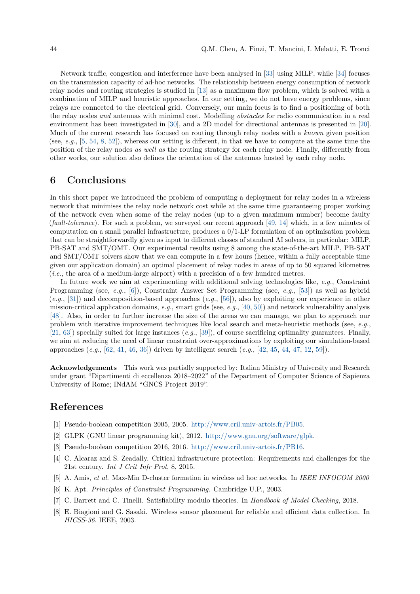Network traffic, congestion and interference have been analysed in [\[33\]](#page-4-14) using MILP, while [\[34\]](#page-4-15) focuses on the transmission capacity of ad-hoc networks. The relationship between energy consumption of network relay nodes and routing strategies is studied in [\[13\]](#page-4-16) as a maximum flow problem, which is solved with a combination of MILP and heuristic approaches. In our setting, we do not have energy problems, since relays are connected to the electrical grid. Conversely, our main focus is to find a positioning of both the relay nodes *and* antennas with minimal cost. Modelling *obstacles* for radio communication in a real environment has been investigated in [\[30\]](#page-4-17), and a 2D model for directional antennas is presented in [\[20\]](#page-4-18). Much of the current research has focused on routing through relay nodes with a *known* given position (see, *e.g.*, [\[5,](#page-3-4) [54,](#page-5-6) [8,](#page-3-3) [52\]](#page-5-7)), whereas our setting is different, in that we have to compute at the same time the position of the relay nodes *as well as* the routing strategy for each relay node. Finally, differently from other works, our solution also defines the orientation of the antennas hosted by each relay node.

#### **6 Conclusions**

In this short paper we introduced the problem of computing a deployment for relay nodes in a wireless network that minimises the relay node network cost while at the same time guaranteeing proper working of the network even when some of the relay nodes (up to a given maximum number) become faulty (*fault-tolerance*). For such a problem, we surveyed our recent approach [\[49,](#page-5-0) [14\]](#page-4-1) which, in a few minutes of computation on a small parallel infrastructure, produces a 0/1-LP formulation of an optimisation problem that can be straightforwardly given as input to different classes of standard AI solvers, in particular: MILP, PB-SAT and SMT/OMT. Our experimental results using 8 among the state-of-the-art MILP, PB-SAT and SMT/OMT solvers show that we can compute in a few hours (hence, within a fully acceptable time given our application domain) an optimal placement of relay nodes in areas of up to 50 squared kilometres (*i.e.*, the area of a medium-large airport) with a precision of a few hundred metres.

In future work we aim at experimenting with additional solving technologies like, *e.g.*, Constraint Programming (see, *e.g.*, [\[6\]](#page-3-5)), Constraint Answer Set Programming (see, *e.g.*, [\[53\]](#page-5-8)) as well as hybrid (*e.g.*, [\[31\]](#page-4-19)) and decomposition-based approaches (*e.g.*, [\[56\]](#page-5-9)), also by exploiting our experience in other mission-critical application domains, *e.g.*, smart grids (see, *e.g.*, [\[40,](#page-5-10) [50\]](#page-5-11)) and network vulnerability analysis [\[48\]](#page-5-12). Also, in order to further increase the size of the areas we can manage, we plan to approach our problem with iterative improvement techniques like local search and meta-heuristic methods (see, *e.g.*, [\[21,](#page-4-20) [63\]](#page-5-13)) specially suited for large instances (*e.g.*, [\[39\]](#page-5-14)), of course sacrificing optimality guarantees. Finally, we aim at reducing the need of linear constraint over-approximations by exploiting our simulation-based approaches (*e.g.*, [\[62,](#page-5-15) [41,](#page-5-16) [46,](#page-5-17) [36\]](#page-4-21)) driven by intelligent search (*e.g.*, [\[42,](#page-5-18) [45,](#page-5-19) [44,](#page-5-20) [47,](#page-5-21) [12,](#page-4-22) [59\]](#page-5-22)).

**Acknowledgements** This work was partially supported by: Italian Ministry of University and Research under grant "Dipartimenti di eccellenza 2018–2022" of the Department of Computer Science of Sapienza University of Rome; INdAM "GNCS Project 2019".

## **References**

- <span id="page-3-1"></span>[1] Pseudo-boolean competition 2005, 2005. [http://www.cril.univ-artois.fr/PB05.](http://www.cril.univ-artois.fr/PB05)
- <span id="page-3-0"></span>[2] GLPK (GNU linear programming kit), 2012. [http://www.gnu.org/software/glpk.](http://www.gnu.org/software/glpk)
- <span id="page-3-2"></span>[3] Pseudo-boolean competition 2016, 2016. [http://www.cril.univ-artois.fr/PB16.](http://www.cril.univ-artois.fr/PB16)
- [4] C. Alcaraz and S. Zeadally. Critical infrastructure protection: Requirements and challenges for the 21st century. *Int J Crit Infr Prot*, 8, 2015.
- <span id="page-3-4"></span>[5] A. Amis, *et al.* Max-Min D-cluster formation in wireless ad hoc networks. In *IEEE INFOCOM 2000*
- <span id="page-3-5"></span>[6] K. Apt. *Principles of Constraint Programming*. Cambridge U.P., 2003.
- [7] C. Barrett and C. Tinelli. Satisfiability modulo theories. In *Handbook of Model Checking*, 2018.
- <span id="page-3-3"></span>[8] E. Biagioni and G. Sasaki. Wireless sensor placement for reliable and efficient data collection. In *HICSS-36*. IEEE, 2003.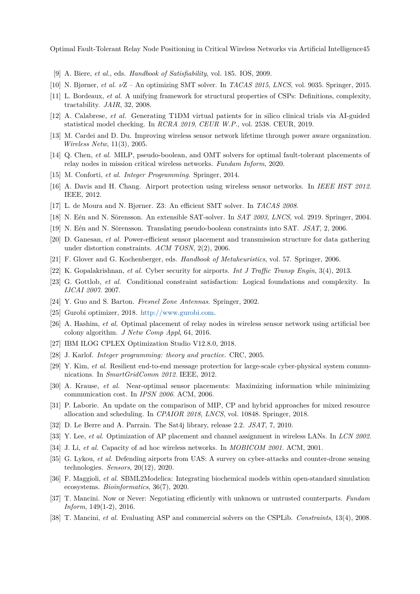Optimal Fault-Tolerant Relay Node Positioning in Critical Wireless Networks via Artificial Intelligence45

- [9] A. Biere, *et al.*, eds. *Handbook of Satisfiability*, vol. 185. IOS, 2009.
- <span id="page-4-12"></span>[10] N. Bjørner, *et al. ν*Z – An optimizing SMT solver. In *TACAS 2015*, *LNCS*, vol. 9035. Springer, 2015.
- <span id="page-4-4"></span>[11] L. Bordeaux, *et al.* A unifying framework for structural properties of CSPs: Definitions, complexity, tractability. *JAIR*, 32, 2008.
- <span id="page-4-22"></span>[12] A. Calabrese, *et al.* Generating T1DM virtual patients for in silico clinical trials via AI-guided statistical model checking. In *RCRA 2019*, *CEUR W.P.*, vol. 2538. CEUR, 2019.
- <span id="page-4-16"></span>[13] M. Cardei and D. Du. Improving wireless sensor network lifetime through power aware organization. *Wireless Netw*, 11(3), 2005.
- <span id="page-4-1"></span>[14] Q. Chen, *et al.* MILP, pseudo-boolean, and OMT solvers for optimal fault-tolerant placements of relay nodes in mission critical wireless networks. *Fundam Inform*, 2020.
- [15] M. Conforti, *et al. Integer Programming*. Springer, 2014.
- [16] A. Davis and H. Chang. Airport protection using wireless sensor networks. In *IEEE HST 2012*. IEEE, 2012.
- <span id="page-4-11"></span>[17] L. de Moura and N. Bjørner. Z3: An efficient SMT solver. In *TACAS 2008*.
- <span id="page-4-9"></span>[18] N. Eén and N. Sörensson. An extensible SAT-solver. In *SAT 2003*, *LNCS*, vol. 2919. Springer, 2004.
- <span id="page-4-8"></span>[19] N. Eén and N. Sörensson. Translating pseudo-boolean constraints into SAT. *JSAT*, 2, 2006.
- <span id="page-4-18"></span>[20] D. Ganesan, *et al.* Power-efficient sensor placement and transmission structure for data gathering under distortion constraints. *ACM TOSN*, 2(2), 2006.
- <span id="page-4-20"></span>[21] F. Glover and G. Kochenberger, eds. *Handbook of Metaheuristics*, vol. 57. Springer, 2006.
- [22] K. Gopalakrishnan, *et al.* Cyber security for airports. *Int J Traffic Transp Engin*, 3(4), 2013.
- <span id="page-4-2"></span>[23] G. Gottlob, *et al.* Conditional constraint satisfaction: Logical foundations and complexity. In *IJCAI 2007*. 2007.
- <span id="page-4-0"></span>[24] Y. Guo and S. Barton. *Fresnel Zone Antennas*. Springer, 2002.
- <span id="page-4-7"></span>[25] Gurobi optimizer, 2018. [http://www.gurobi.com.](http://www.gurobi.com)
- <span id="page-4-13"></span>[26] A. Hashim, *et al.* Optimal placement of relay nodes in wireless sensor network using artificial bee colony algorithm. *J Netw Comp Appl*, 64, 2016.
- <span id="page-4-6"></span>[27] IBM ILOG CPLEX Optimization Studio V12.8.0, 2018.
- [28] J. Karlof. *Integer programming: theory and practice*. CRC, 2005.
- [29] Y. Kim, *et al.* Resilient end-to-end message protection for large-scale cyber-physical system communications. In *SmartGridComm 2012*. IEEE, 2012.
- <span id="page-4-17"></span>[30] A. Krause, *et al.* Near-optimal sensor placements: Maximizing information while minimizing communication cost. In *IPSN 2006*. ACM, 2006.
- <span id="page-4-19"></span>[31] P. Laborie. An update on the comparison of MIP, CP and hybrid approaches for mixed resource allocation and scheduling. In *CPAIOR 2018*, *LNCS*, vol. 10848. Springer, 2018.
- <span id="page-4-10"></span>[32] D. Le Berre and A. Parrain. The Sat4j library, release 2.2. *JSAT*, 7, 2010.
- <span id="page-4-14"></span>[33] Y. Lee, *et al.* Optimization of AP placement and channel assignment in wireless LANs. In *LCN 2002*.
- <span id="page-4-15"></span>[34] J. Li, *et al.* Capacity of ad hoc wireless networks. In *MOBICOM 2001*. ACM, 2001.
- [35] G. Lykou, *et al.* Defending airports from UAS: A survey on cyber-attacks and counter-drone sensing technologies. *Sensors*, 20(12), 2020.
- <span id="page-4-21"></span>[36] F. Maggioli, *et al.* SBML2Modelica: Integrating biochemical models within open-standard simulation ecosystems. *Bioinformatics*, 36(7), 2020.
- <span id="page-4-3"></span>[37] T. Mancini. Now or Never: Negotiating efficiently with unknown or untrusted counterparts. *Fundam Inform*, 149(1-2), 2016.
- <span id="page-4-5"></span>[38] T. Mancini, *et al.* Evaluating ASP and commercial solvers on the CSPLib. *Constraints*, 13(4), 2008.